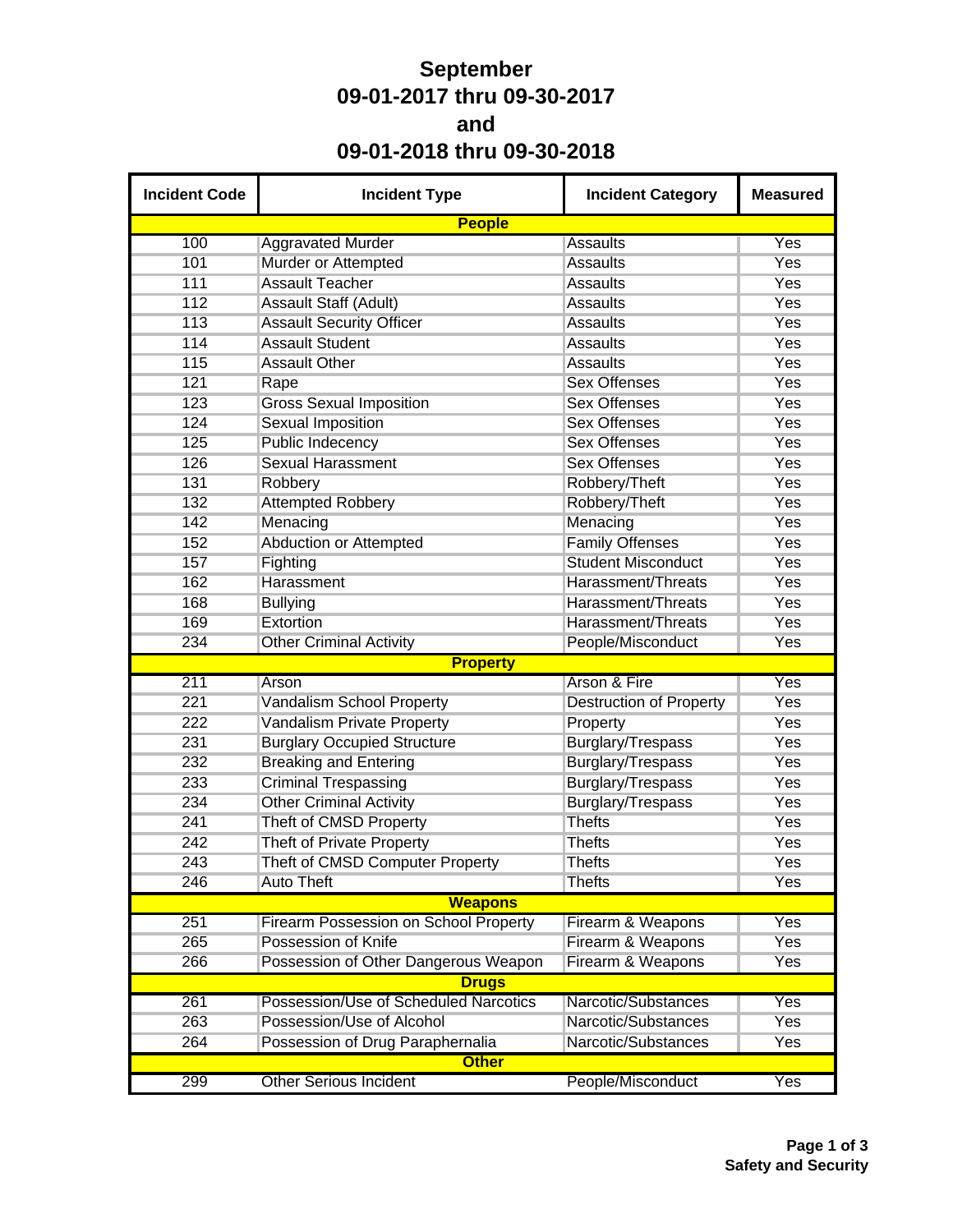## **September 09-01-2017 thru 09-30-2017 and 09-01-2018 thru 09-30-2018**

| <b>Incident Code</b> | <b>Incident Type</b>                         | <b>Incident Category</b>       | <b>Measured</b> |  |  |  |  |  |
|----------------------|----------------------------------------------|--------------------------------|-----------------|--|--|--|--|--|
|                      | <b>People</b>                                |                                |                 |  |  |  |  |  |
| 100                  | <b>Aggravated Murder</b>                     | <b>Assaults</b>                | Yes             |  |  |  |  |  |
| 101                  | Murder or Attempted                          | <b>Assaults</b>                | Yes             |  |  |  |  |  |
| 111                  | <b>Assault Teacher</b>                       | <b>Assaults</b>                | Yes             |  |  |  |  |  |
| 112                  | <b>Assault Staff (Adult)</b>                 | <b>Assaults</b>                | Yes             |  |  |  |  |  |
| 113                  | <b>Assault Security Officer</b>              | <b>Assaults</b>                | Yes             |  |  |  |  |  |
| 114                  | <b>Assault Student</b>                       | <b>Assaults</b>                | Yes             |  |  |  |  |  |
| 115                  | <b>Assault Other</b>                         | <b>Assaults</b>                | Yes             |  |  |  |  |  |
| 121                  | Rape                                         | <b>Sex Offenses</b>            | Yes             |  |  |  |  |  |
| 123                  | <b>Gross Sexual Imposition</b>               | <b>Sex Offenses</b>            | Yes             |  |  |  |  |  |
| 124                  | <b>Sexual Imposition</b>                     | <b>Sex Offenses</b>            | Yes             |  |  |  |  |  |
| 125                  | <b>Public Indecency</b>                      | <b>Sex Offenses</b>            | Yes             |  |  |  |  |  |
| 126                  | <b>Sexual Harassment</b>                     | <b>Sex Offenses</b>            | Yes             |  |  |  |  |  |
| 131                  | Robbery                                      | Robbery/Theft                  | Yes             |  |  |  |  |  |
| 132                  | <b>Attempted Robbery</b>                     | Robbery/Theft                  | Yes             |  |  |  |  |  |
| 142                  | Menacing                                     | Menacing                       | Yes             |  |  |  |  |  |
| 152                  | Abduction or Attempted                       | <b>Family Offenses</b>         | Yes             |  |  |  |  |  |
| 157                  | Fighting                                     | <b>Student Misconduct</b>      | Yes             |  |  |  |  |  |
| 162                  | Harassment                                   | Harassment/Threats             | Yes             |  |  |  |  |  |
| 168                  | <b>Bullying</b>                              | Harassment/Threats             | Yes             |  |  |  |  |  |
| 169                  | Extortion                                    | Harassment/Threats             | Yes             |  |  |  |  |  |
| 234                  | <b>Other Criminal Activity</b>               | People/Misconduct              | Yes             |  |  |  |  |  |
| <b>Property</b>      |                                              |                                |                 |  |  |  |  |  |
| 211                  | Arson                                        | Arson & Fire                   | Yes             |  |  |  |  |  |
| 221                  | Vandalism School Property                    | <b>Destruction of Property</b> | Yes             |  |  |  |  |  |
| 222                  | Vandalism Private Property                   | Property                       | Yes             |  |  |  |  |  |
| 231                  | <b>Burglary Occupied Structure</b>           | <b>Burglary/Trespass</b>       | Yes             |  |  |  |  |  |
| 232                  | <b>Breaking and Entering</b>                 | Burglary/Trespass              | Yes             |  |  |  |  |  |
| 233                  | <b>Criminal Trespassing</b>                  | <b>Burglary/Trespass</b>       | Yes             |  |  |  |  |  |
| 234                  | <b>Other Criminal Activity</b>               | <b>Burglary/Trespass</b>       | Yes             |  |  |  |  |  |
| 241                  | Theft of CMSD Property                       | <b>Thefts</b>                  | Yes             |  |  |  |  |  |
| 242                  | Theft of Private Property                    | <b>Thefts</b>                  | Yes             |  |  |  |  |  |
| 243                  | Theft of CMSD Computer Property              | <b>Thefts</b>                  | Yes             |  |  |  |  |  |
| 246                  | <b>Auto Theft</b>                            | <b>Thefts</b>                  | Yes             |  |  |  |  |  |
|                      | <b>Weapons</b>                               |                                |                 |  |  |  |  |  |
| 251                  | <b>Firearm Possession on School Property</b> | Firearm & Weapons              | Yes             |  |  |  |  |  |
| 265                  | Possession of Knife                          | Firearm & Weapons              | <b>Yes</b>      |  |  |  |  |  |
| 266                  | Possession of Other Dangerous Weapon         | Firearm & Weapons              | Yes             |  |  |  |  |  |
|                      | <b>Drugs</b>                                 |                                |                 |  |  |  |  |  |
| 261                  | Possession/Use of Scheduled Narcotics        | Narcotic/Substances            | Yes             |  |  |  |  |  |
| 263                  | Possession/Use of Alcohol                    | Narcotic/Substances            | Yes             |  |  |  |  |  |
| 264                  | Possession of Drug Paraphernalia             | Narcotic/Substances            | Yes             |  |  |  |  |  |
|                      | <b>Other</b>                                 |                                |                 |  |  |  |  |  |
| 299                  | <b>Other Serious Incident</b>                | People/Misconduct              | Yes             |  |  |  |  |  |
|                      |                                              |                                |                 |  |  |  |  |  |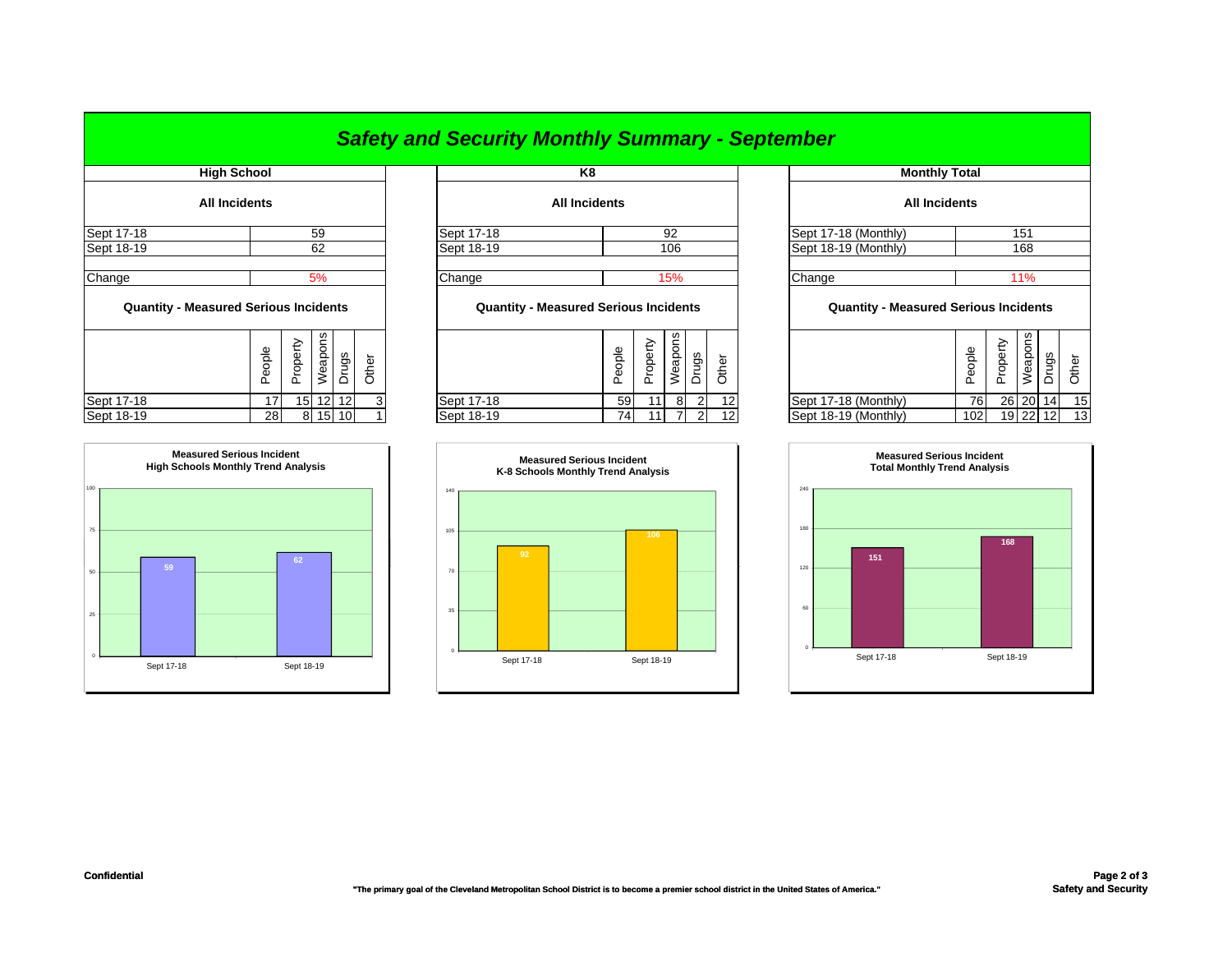|                                              |                      |          |          |       |       | <u> Salety and Security Monthly Summary - September</u> |                            |          |                      |                |                      |     |                                              |           |          |          |       |                 |
|----------------------------------------------|----------------------|----------|----------|-------|-------|---------------------------------------------------------|----------------------------|----------|----------------------|----------------|----------------------|-----|----------------------------------------------|-----------|----------|----------|-------|-----------------|
| <b>High School</b>                           |                      |          |          | K8    |       |                                                         |                            |          | <b>Monthly Total</b> |                |                      |     |                                              |           |          |          |       |                 |
|                                              | <b>All Incidents</b> |          |          |       |       |                                                         | <b>All Incidents</b>       |          |                      |                |                      |     | <b>All Incidents</b>                         |           |          |          |       |                 |
| Sept 17-18                                   |                      |          | 59       |       |       | Sept 17-18                                              | 92<br>Sept 17-18 (Monthly) |          |                      |                |                      | 151 |                                              |           |          |          |       |                 |
| Sept 18-19                                   |                      |          | 62       |       |       | Sept 18-19                                              | 106                        |          |                      |                | Sept 18-19 (Monthly) |     | 168                                          |           |          |          |       |                 |
| Change                                       |                      |          | 5%       |       |       | Change                                                  |                            |          | 15%                  |                |                      |     | Change                                       |           | 11%      |          |       |                 |
| <b>Quantity - Measured Serious Incidents</b> |                      |          |          |       |       | <b>Quantity - Measured Serious Incidents</b>            |                            |          |                      |                |                      |     | <b>Quantity - Measured Serious Incidents</b> |           |          |          |       |                 |
|                                              | People               | Property | Weapons  | Drugs | Other |                                                         | People                     | Property | Weapons              | Drugs          | Other                |     |                                              | People    | Property | Weapons  | Drugs | Other           |
| Sept 17-18                                   | 17                   |          | 15 12 12 |       |       | Sept 17-18                                              | 59                         | 11       | 8                    | $\overline{2}$ | 12                   |     | Sept 17-18 (Monthly)                         | <b>76</b> |          | 26 20 14 |       | 15              |
| Sept 18-19                                   | 28 <sub>1</sub>      |          | 8 15 10  |       |       | Sept 18-19                                              | 74                         | 11       |                      | $\overline{2}$ |                      |     | Sept 18-19 (Monthly)                         | 102       |          | 19 22 12 |       | 13 <sub>1</sub> |

| <b>All Incidents</b>                         |        |                     |    |       |       |  |  |  |  |  |  |  |
|----------------------------------------------|--------|---------------------|----|-------|-------|--|--|--|--|--|--|--|
| Sept 17-18 (Monthly)<br>151                  |        |                     |    |       |       |  |  |  |  |  |  |  |
| Sept 18-19 (Monthly)<br>168                  |        |                     |    |       |       |  |  |  |  |  |  |  |
| Change                                       | 11%    |                     |    |       |       |  |  |  |  |  |  |  |
| <b>Quantity - Measured Serious Incidents</b> |        |                     |    |       |       |  |  |  |  |  |  |  |
|                                              | People | Property<br>Weapons |    | Drugs | Other |  |  |  |  |  |  |  |
| Sept 17-18 (Monthly)                         | 76     | 26                  | 20 | 14    | 15    |  |  |  |  |  |  |  |
| Cont 18.10 (Monthiv)                         | 102    | 101                 | つつ | 12    | 12    |  |  |  |  |  |  |  |





**Measured Serious Incident K-8 Schools Monthly Trend Analysis**

Sept 17-18 Sept 18-19

75